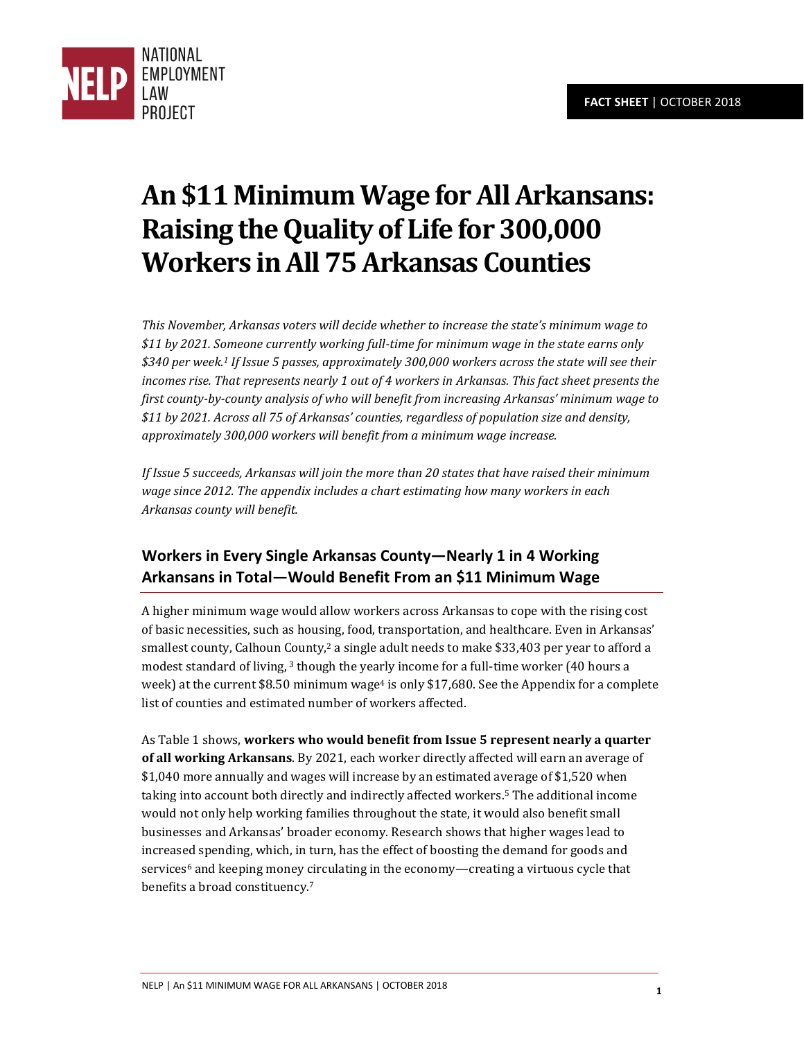

# **An \$11 Minimum Wage for All Arkansans: Raising the Quality of Life for 300,000 Workers in All 75 Arkansas Counties**

*This November, Arkansas voters will decide whether to increase the state's minimum wage to \$11 by 2021. Someone currently working full-time for minimum wage in the state earns only \$340 per week.<sup>1</sup> If Issue 5 passes, approximately 300,000 workers across the state will see their incomes rise. That represents nearly 1 out of 4 workers in Arkansas. This fact sheet presents the first county-by-county analysis of who will benefit from increasing Arkansas' minimum wage to \$11 by 2021. Across all 75 of Arkansas' counties, regardless of population size and density, approximately 300,000 workers will benefit from a minimum wage increase.* 

*If Issue 5 succeeds, Arkansas will join the more than 20 states that have raised their minimum wage since 2012. The appendix includes a chart estimating how many workers in each Arkansas county will benefit.* 

# **Workers in Every Single Arkansas County—Nearly 1 in 4 Working Arkansans in Total—Would Benefit From an \$11 Minimum Wage**

A higher minimum wage would allow workers across Arkansas to cope with the rising cost of basic necessities, such as housing, food, transportation, and healthcare. Even in Arkansas' smallest county, Calhoun County,<sup>2</sup> a single adult needs to make \$33,403 per year to afford a modest standard of living, 3 though the yearly income for a full-time worker (40 hours a week) at the current \$8.50 minimum wage<sup>4</sup> is only \$17,680. See the Appendix for a complete list of counties and estimated number of workers affected.

As Table 1 shows, **workers who would benefit from Issue 5 represent nearly a quarter of all working Arkansans**. By 2021, each worker directly affected will earn an average of \$1,040 more annually and wages will increase by an estimated average of \$1,520 when taking into account both directly and indirectly affected workers.5 The additional income would not only help working families throughout the state, it would also benefit small businesses and Arkansas' broader economy. Research shows that higher wages lead to increased spending, which, in turn, has the effect of boosting the demand for goods and services<sup>6</sup> and keeping money circulating in the economy—creating a virtuous cycle that benefits a broad constituency.<sup>7</sup>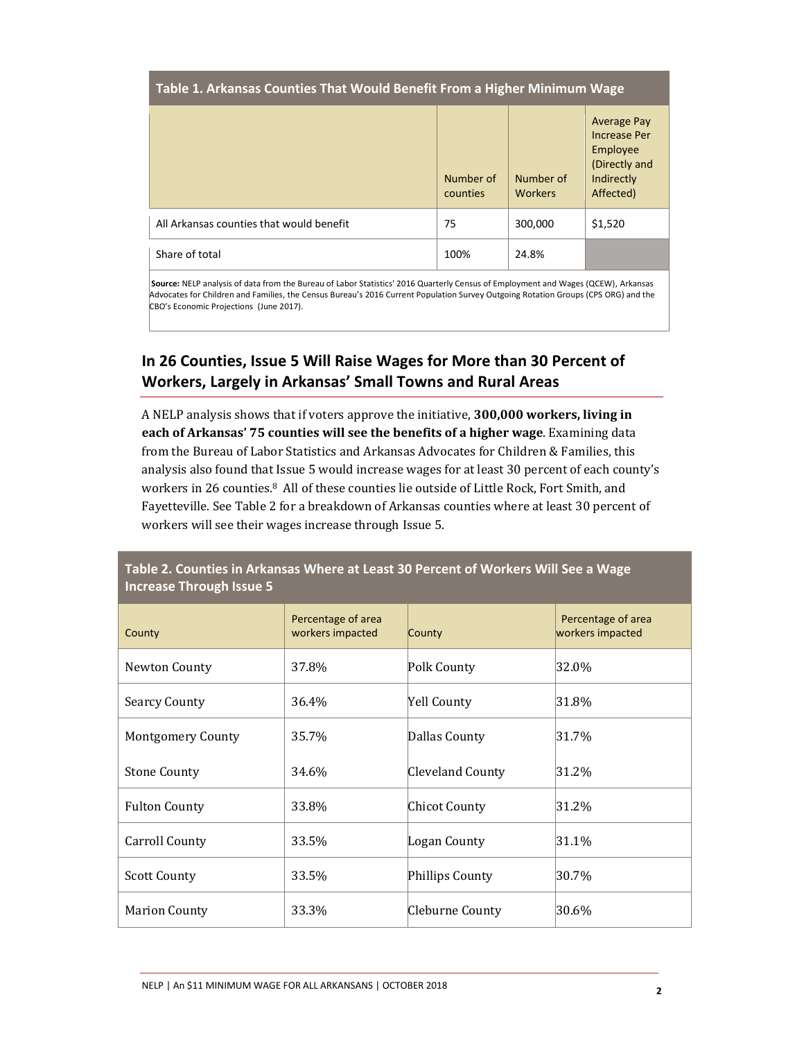#### **Table 1. Arkansas Counties That Would Benefit From a Higher Minimum Wage**

|                                          | Number of<br>counties | Number of<br><b>Workers</b> | <b>Average Pay</b><br><b>Increase Per</b><br>Employee<br>(Directly and<br>Indirectly<br>Affected) |
|------------------------------------------|-----------------------|-----------------------------|---------------------------------------------------------------------------------------------------|
| All Arkansas counties that would benefit | 75                    | 300,000                     | \$1,520                                                                                           |
| Share of total                           | 100%                  | 24.8%                       |                                                                                                   |

 **Source:** NELP analysis of data from the Bureau of Labor Statistics' 2016 Quarterly Census of Employment and Wages (QCEW), Arkansas Advocates for Children and Families, the Census Bureau's 2016 Current Population Survey Outgoing Rotation Groups (CPS ORG) and the CBO's Economic Projections (June 2017).

## **In 26 Counties, Issue 5 Will Raise Wages for More than 30 Percent of Workers, Largely in Arkansas' Small Towns and Rural Areas**

A NELP analysis shows that if voters approve the initiative, **300,000 workers, living in each of Arkansas' 75 counties will see the benefits of a higher wage**. Examining data from the Bureau of Labor Statistics and Arkansas Advocates for Children & Families, this analysis also found that Issue 5 would increase wages for at least 30 percent of each county's workers in 26 counties.<sup>8</sup> All of these counties lie outside of Little Rock, Fort Smith, and Fayetteville. See Table 2 for a breakdown of Arkansas counties where at least 30 percent of workers will see their wages increase through Issue 5.

**Table 2. Counties in Arkansas Where at Least 30 Percent of Workers Will See a Wage Increase Through Issue 5** 

| County                   | Percentage of area<br>workers impacted | County             | Percentage of area<br>workers impacted |
|--------------------------|----------------------------------------|--------------------|----------------------------------------|
| Newton County            | 37.8%                                  | Polk County        | 32.0%                                  |
| <b>Searcy County</b>     | 36.4%                                  | <b>Yell County</b> | 31.8%                                  |
| <b>Montgomery County</b> | 35.7%                                  | Dallas County      | $ 31.7\% $                             |
| <b>Stone County</b>      | 34.6%                                  | Cleveland County   | 31.2%                                  |
| <b>Fulton County</b>     | 33.8%                                  | Chicot County      | 31.2%                                  |
| Carroll County           | 33.5%                                  | Logan County       | 31.1%                                  |
| <b>Scott County</b>      | 33.5%                                  | Phillips County    | 30.7%                                  |
| <b>Marion County</b>     | 33.3%                                  | Cleburne County    | 30.6%                                  |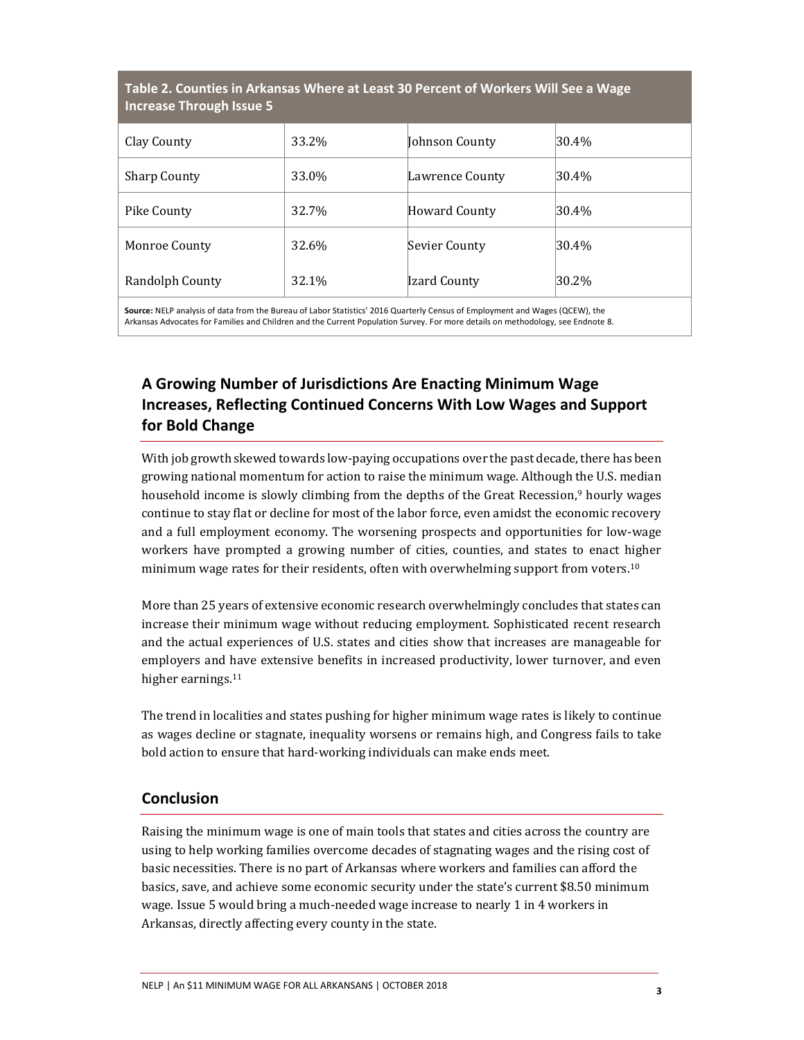| Table 2. Counties in Arkansas Where at Least 30 Percent of Workers Will See a Wage<br><b>Increase Through Issue 5</b> |       |                 |           |  |  |
|-----------------------------------------------------------------------------------------------------------------------|-------|-----------------|-----------|--|--|
| Clay County                                                                                                           | 33.2% | Johnson County  | 30.4%     |  |  |
| <b>Sharp County</b>                                                                                                   | 33.0% | Lawrence County | $ 30.4\%$ |  |  |
| Pike County                                                                                                           | 32.7% | Howard County   | $ 30.4\%$ |  |  |
| Monroe County                                                                                                         | 32.6% | Sevier County   | 30.4%     |  |  |
| Randolph County                                                                                                       | 32.1% | Izard County    | 30.2%     |  |  |

 **Source:** NELP analysis of data from the Bureau of Labor Statistics' 2016 Quarterly Census of Employment and Wages (QCEW), the Arkansas Advocates for Families and Children and the Current Population Survey. For more details on methodology, see Endnote 8.

# **A Growing Number of Jurisdictions Are Enacting Minimum Wage Increases, Reflecting Continued Concerns With Low Wages and Support for Bold Change**

With job growth skewed towards low-paying occupations over the past decade, there has been growing national momentum for action to raise the minimum wage. Although the U.S. median household income is slowly climbing from the depths of the Great Recession,<sup>9</sup> hourly wages continue to stay flat or decline for most of the labor force, even amidst the economic recovery and a full employment economy. The worsening prospects and opportunities for low-wage workers have prompted a growing number of cities, counties, and states to enact higher minimum wage rates for their residents, often with overwhelming support from voters.<sup>10</sup>

More than 25 years of extensive economic research overwhelmingly concludes that states can increase their minimum wage without reducing employment. Sophisticated recent research and the actual experiences of U.S. states and cities show that increases are manageable for employers and have extensive benefits in increased productivity, lower turnover, and even higher earnings.<sup>11</sup>

The trend in localities and states pushing for higher minimum wage rates is likely to continue as wages decline or stagnate, inequality worsens or remains high, and Congress fails to take bold action to ensure that hard-working individuals can make ends meet.

### **Conclusion**

Raising the minimum wage is one of main tools that states and cities across the country are using to help working families overcome decades of stagnating wages and the rising cost of basic necessities. There is no part of Arkansas where workers and families can afford the basics, save, and achieve some economic security under the state's current \$8.50 minimum wage. Issue 5 would bring a much-needed wage increase to nearly 1 in 4 workers in Arkansas, directly affecting every county in the state.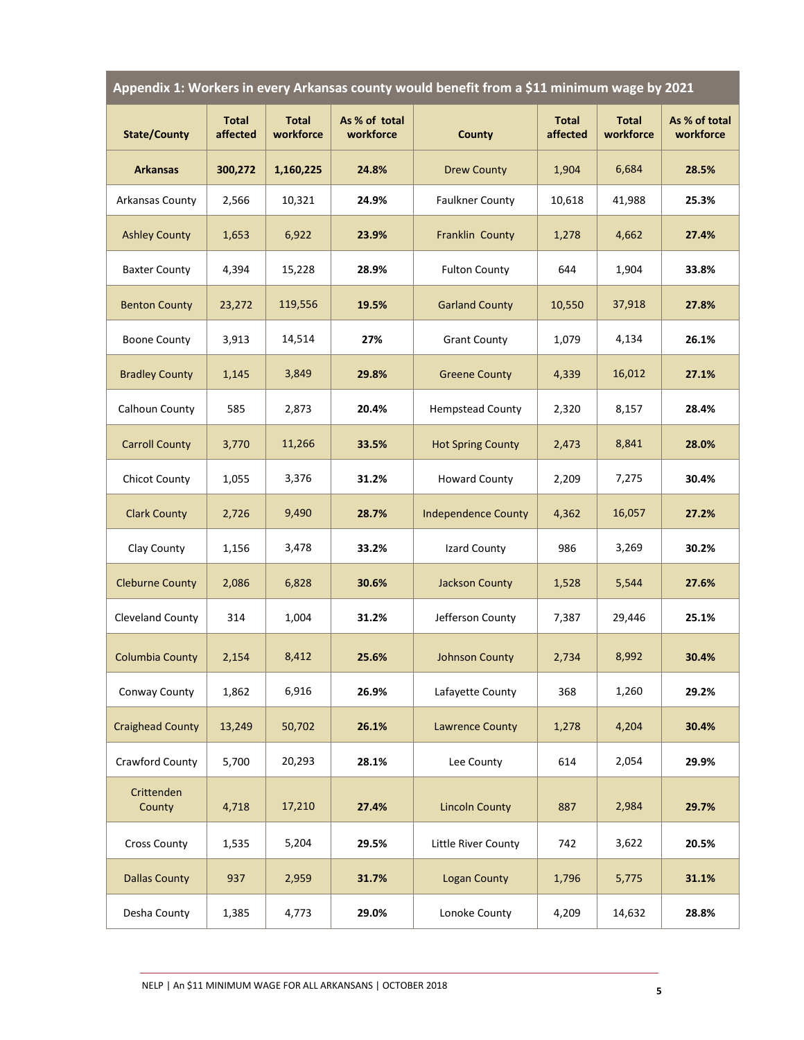|  | Appendix 1: Workers in every Arkansas county would benefit from a \$11 minimum wage by 2021 \, |  |
|--|------------------------------------------------------------------------------------------------|--|
|--|------------------------------------------------------------------------------------------------|--|

| <b>State/County</b>     | <b>Total</b><br>affected | <b>Total</b><br>workforce | As % of total<br>workforce | <b>County</b>              | <b>Total</b><br>affected | <b>Total</b><br>workforce | As % of total<br>workforce |
|-------------------------|--------------------------|---------------------------|----------------------------|----------------------------|--------------------------|---------------------------|----------------------------|
| <b>Arkansas</b>         | 300,272                  | 1,160,225                 | 24.8%                      | <b>Drew County</b>         | 1,904                    | 6,684                     | 28.5%                      |
| <b>Arkansas County</b>  | 2,566                    | 10,321                    | 24.9%                      | <b>Faulkner County</b>     | 10,618                   | 41,988                    | 25.3%                      |
| <b>Ashley County</b>    | 1,653                    | 6,922                     | 23.9%                      | Franklin County            | 1,278                    | 4,662                     | 27.4%                      |
| <b>Baxter County</b>    | 4,394                    | 15,228                    | 28.9%                      | <b>Fulton County</b>       | 644                      | 1,904                     | 33.8%                      |
| <b>Benton County</b>    | 23,272                   | 119,556                   | 19.5%                      | <b>Garland County</b>      | 10,550                   | 37,918                    | 27.8%                      |
| <b>Boone County</b>     | 3,913                    | 14,514                    | 27%                        | <b>Grant County</b>        | 1,079                    | 4,134                     | 26.1%                      |
| <b>Bradley County</b>   | 1,145                    | 3,849                     | 29.8%                      | <b>Greene County</b>       | 4,339                    | 16,012                    | 27.1%                      |
| Calhoun County          | 585                      | 2,873                     | 20.4%                      | <b>Hempstead County</b>    | 2,320                    | 8,157                     | 28.4%                      |
| <b>Carroll County</b>   | 3,770                    | 11,266                    | 33.5%                      | <b>Hot Spring County</b>   | 2,473                    | 8,841                     | 28.0%                      |
| <b>Chicot County</b>    | 1,055                    | 3,376                     | 31.2%                      | <b>Howard County</b>       | 2,209                    | 7,275                     | 30.4%                      |
| <b>Clark County</b>     | 2,726                    | 9,490                     | 28.7%                      | <b>Independence County</b> | 4,362                    | 16,057                    | 27.2%                      |
| Clay County             | 1,156                    | 3,478                     | 33.2%                      | Izard County               | 986                      | 3,269                     | 30.2%                      |
| <b>Cleburne County</b>  | 2,086                    | 6,828                     | 30.6%                      | <b>Jackson County</b>      | 1,528                    | 5,544                     | 27.6%                      |
| Cleveland County        | 314                      | 1,004                     | 31.2%                      | Jefferson County           | 7,387                    | 29,446                    | 25.1%                      |
| <b>Columbia County</b>  | 2,154                    | 8,412                     | 25.6%                      | <b>Johnson County</b>      | 2,734                    | 8,992                     | 30.4%                      |
| Conway County           | 1,862                    | 6,916                     | 26.9%                      | Lafayette County           | 368                      | 1,260                     | 29.2%                      |
| <b>Craighead County</b> | 13,249                   | 50,702                    | 26.1%                      | <b>Lawrence County</b>     | 1,278                    | 4,204                     | 30.4%                      |
| Crawford County         | 5,700                    | 20,293                    | 28.1%                      | Lee County                 | 614                      | 2,054                     | 29.9%                      |
| Crittenden<br>County    | 4,718                    | 17,210                    | 27.4%                      | <b>Lincoln County</b>      | 887                      | 2,984                     | 29.7%                      |
| <b>Cross County</b>     | 1,535                    | 5,204                     | 29.5%                      | Little River County        | 742                      | 3,622                     | 20.5%                      |
| <b>Dallas County</b>    | 937                      | 2,959                     | 31.7%                      | <b>Logan County</b>        | 1,796                    | 5,775                     | 31.1%                      |
| Desha County            | 1,385                    | 4,773                     | 29.0%                      | Lonoke County              | 4,209                    | 14,632                    | 28.8%                      |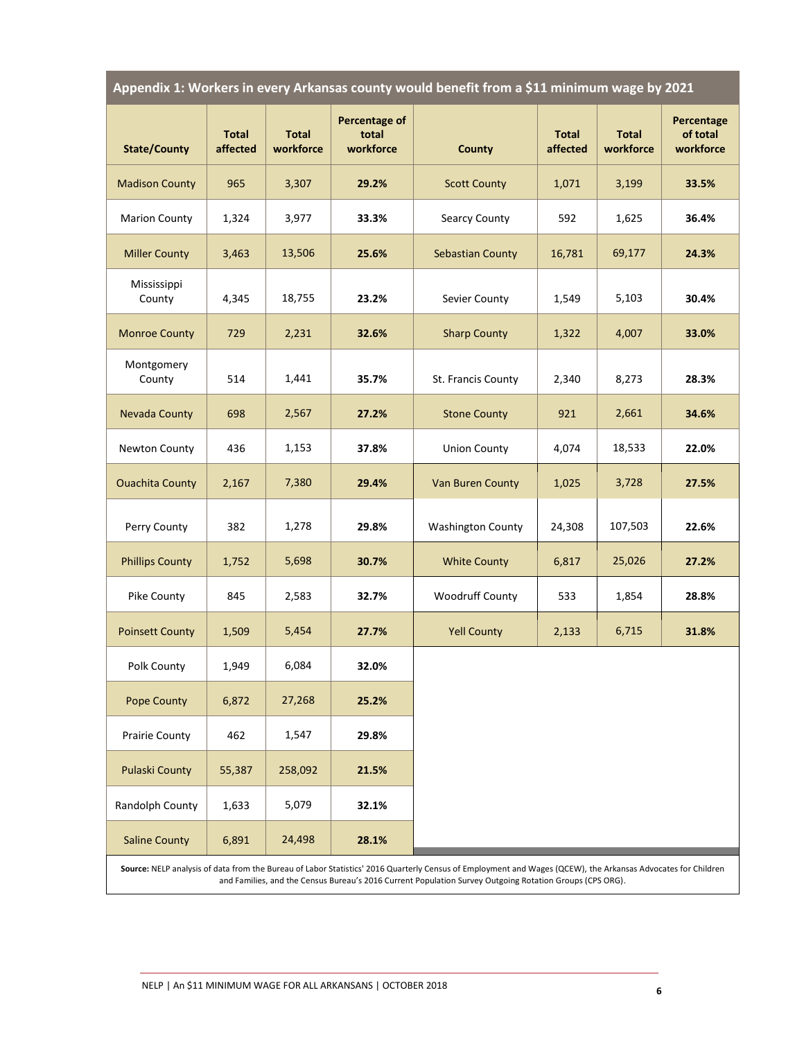| Appendix 1: Workers in every Arkansas county would benefit from a \$11 minimum wage by 2021 |  |  |
|---------------------------------------------------------------------------------------------|--|--|
|                                                                                             |  |  |

| <b>State/County</b>    | <b>Total</b><br>affected | <b>Total</b><br>workforce | <b>Percentage of</b><br>total<br>workforce | <b>County</b>            | <b>Total</b><br>affected | <b>Total</b><br>workforce | Percentage<br>of total<br>workforce |
|------------------------|--------------------------|---------------------------|--------------------------------------------|--------------------------|--------------------------|---------------------------|-------------------------------------|
| <b>Madison County</b>  | 965                      | 3,307                     | 29.2%                                      | <b>Scott County</b>      | 1,071                    | 3,199                     | 33.5%                               |
| <b>Marion County</b>   | 1,324                    | 3,977                     | 33.3%                                      | Searcy County            | 592                      | 1,625                     | 36.4%                               |
| <b>Miller County</b>   | 3,463                    | 13,506                    | 25.6%                                      | <b>Sebastian County</b>  | 16,781                   | 69,177                    | 24.3%                               |
| Mississippi<br>County  | 4,345                    | 18,755                    | 23.2%                                      | Sevier County            | 1,549                    | 5,103                     | 30.4%                               |
| <b>Monroe County</b>   | 729                      | 2,231                     | 32.6%                                      | <b>Sharp County</b>      | 1,322                    | 4,007                     | 33.0%                               |
| Montgomery<br>County   | 514                      | 1,441                     | 35.7%                                      | St. Francis County       | 2,340                    | 8,273                     | 28.3%                               |
| <b>Nevada County</b>   | 698                      | 2,567                     | 27.2%                                      | <b>Stone County</b>      | 921                      | 2,661                     | 34.6%                               |
| Newton County          | 436                      | 1,153                     | 37.8%                                      | <b>Union County</b>      | 4,074                    | 18,533                    | 22.0%                               |
| <b>Ouachita County</b> | 2,167                    | 7,380                     | 29.4%                                      | <b>Van Buren County</b>  | 1,025                    | 3,728                     | 27.5%                               |
| Perry County           | 382                      | 1,278                     | 29.8%                                      | <b>Washington County</b> | 24,308                   | 107,503                   | 22.6%                               |
| <b>Phillips County</b> | 1,752                    | 5,698                     | 30.7%                                      | <b>White County</b>      | 6,817                    | 25,026                    | 27.2%                               |
| Pike County            | 845                      | 2,583                     | 32.7%                                      | Woodruff County          | 533                      | 1,854                     | 28.8%                               |
| <b>Poinsett County</b> | 1,509                    | 5,454                     | 27.7%                                      | <b>Yell County</b>       | 2,133                    | 6,715                     | 31.8%                               |
| Polk County            | 1,949                    | 6,084                     | 32.0%                                      |                          |                          |                           |                                     |
| <b>Pope County</b>     | 6,872                    | 27,268                    | 25.2%                                      |                          |                          |                           |                                     |
| Prairie County         | 462                      | 1,547                     | 29.8%                                      |                          |                          |                           |                                     |
| <b>Pulaski County</b>  | 55,387                   | 258,092                   | 21.5%                                      |                          |                          |                           |                                     |
| Randolph County        | 1,633                    | 5,079                     | 32.1%                                      |                          |                          |                           |                                     |
| <b>Saline County</b>   | 6,891                    | 24,498                    | 28.1%                                      |                          |                          |                           |                                     |

**Source:** NELP analysis of data from the Bureau of Labor Statistics' 2016 Quarterly Census of Employment and Wages (QCEW), the Arkansas Advocates for Children and Families, and the Census Bureau's 2016 Current Population Survey Outgoing Rotation Groups (CPS ORG).